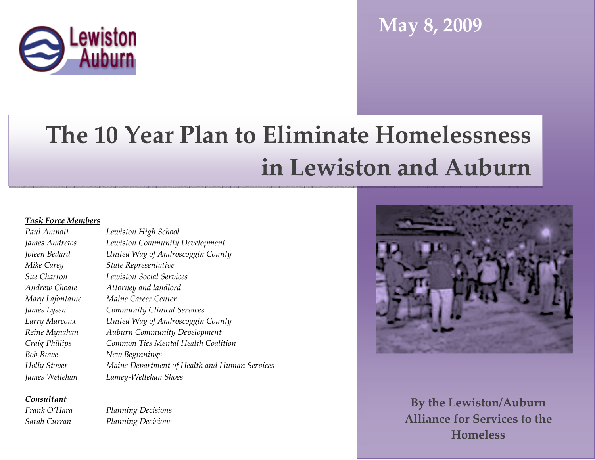

# May 8, 2009

# The 10 Year Plan to Eliminate Homelessness in Lewiston and Auburn

#### Task Force Members

Paul Amnott Lewiston High School James Andrews Lewiston Community Development Joleen Bedard United Way of Androscoggin County Mike Carey State Representative Sue Charron Lewiston Social Services Andrew Choate Attorney and landlord Mary Lafontaine Maine Career Center James Lysen Community Clinical Services Larry Marcoux United Way of Androscoggin County Reine Mynahan Auburn Community Development Craig Phillips Common Ties Mental Health CoalitionBob Rowe New Beginnings Holly Stover Maine Department of Health and Human Services James Wellehan Lamey-Wellehan Shoes

Consultant

Frank O'Hara

Planning Decisions Sarah Curran Planning Decisions



 By the Lewiston/Auburn Alliance for Services to the Homeless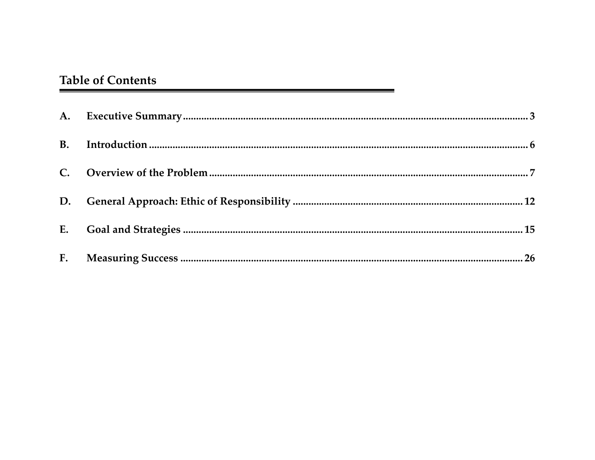## **Table of Contents**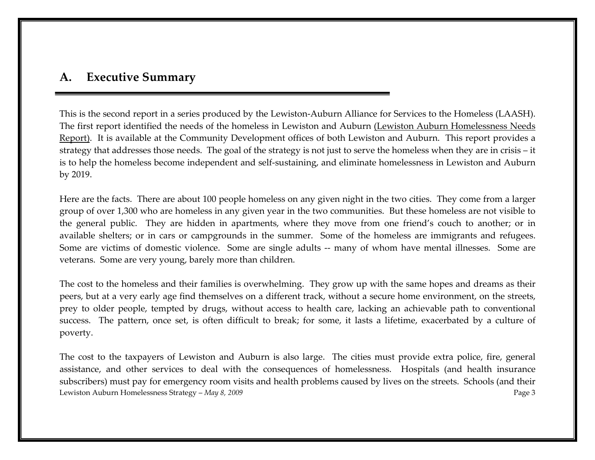#### A. Executive Summary

This is the second report in a series produced by the Lewiston-Auburn Alliance for Services to the Homeless (LAASH). The first report identified the needs of the homeless in Lewiston and Auburn (Lewiston Auburn Homelessness Needs Report). It is available at the Community Development offices of both Lewiston and Auburn. This report provides a strategy that addresses those needs. The goal of the strategy is not just to serve the homeless when they are in crisis – it is to help the homeless become independent and self-sustaining, and eliminate homelessness in Lewiston and Auburn by 2019.

Here are the facts. There are about 100 people homeless on any given night in the two cities. They come from a larger group of over 1,300 who are homeless in any given year in the two communities. But these homeless are not visible to the general public. They are hidden in apartments, where they move from one friend's couch to another; or in available shelters; or in cars or campgrounds in the summer. Some of the homeless are immigrants and refugees. Some are victims of domestic violence. Some are single adults -- many of whom have mental illnesses. Some are veterans. Some are very young, barely more than children.

The cost to the homeless and their families is overwhelming. They grow up with the same hopes and dreams as their peers, but at a very early age find themselves on a different track, without a secure home environment, on the streets, prey to older people, tempted by drugs, without access to health care, lacking an achievable path to conventional success. The pattern, once set, is often difficult to break; for some, it lasts a lifetime, exacerbated by a culture of poverty.

Lewiston Auburn Homelessness Strategy – May 8, 2009 Page 3 The cost to the taxpayers of Lewiston and Auburn is also large. The cities must provide extra police, fire, general assistance, and other services to deal with the consequences of homelessness. Hospitals (and health insurance subscribers) must pay for emergency room visits and health problems caused by lives on the streets. Schools (and their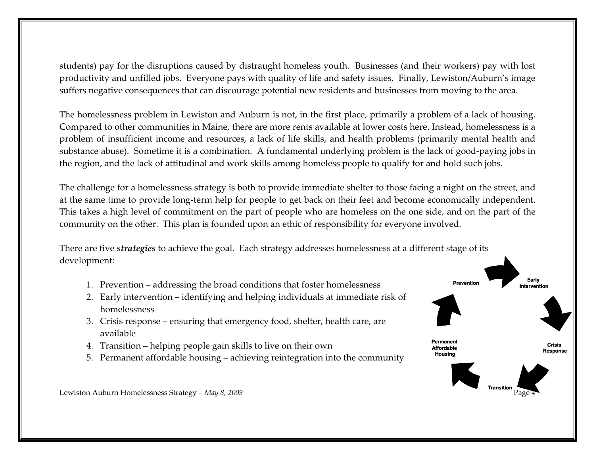students) pay for the disruptions caused by distraught homeless youth. Businesses (and their workers) pay with lost productivity and unfilled jobs. Everyone pays with quality of life and safety issues. Finally, Lewiston/Auburn's image suffers negative consequences that can discourage potential new residents and businesses from moving to the area.

The homelessness problem in Lewiston and Auburn is not, in the first place, primarily a problem of a lack of housing. Compared to other communities in Maine, there are more rents available at lower costs here. Instead, homelessness is a problem of insufficient income and resources, a lack of life skills, and health problems (primarily mental health and substance abuse). Sometime it is a combination. A fundamental underlying problem is the lack of good-paying jobs in the region, and the lack of attitudinal and work skills among homeless people to qualify for and hold such jobs.

The challenge for a homelessness strategy is both to provide immediate shelter to those facing a night on the street, and at the same time to provide long-term help for people to get back on their feet and become economically independent. This takes a high level of commitment on the part of people who are homeless on the one side, and on the part of the community on the other. This plan is founded upon an ethic of responsibility for everyone involved.

There are five *strategies* to achieve the goal. Each strategy addresses homelessness at a different stage of its development:

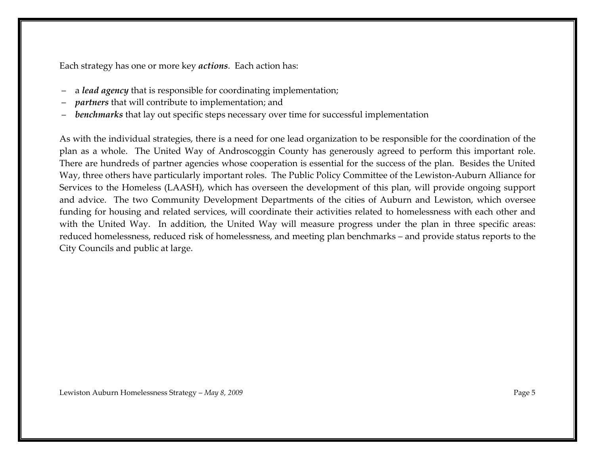Each strategy has one or more key *actions*. Each action has:

- a lead agency that is responsible for coordinating implementation;
- partners that will contribute to implementation; and
- benchmarks that lay out specific steps necessary over time for successful implementation

As with the individual strategies, there is a need for one lead organization to be responsible for the coordination of the plan as a whole. The United Way of Androscoggin County has generously agreed to perform this important role. There are hundreds of partner agencies whose cooperation is essential for the success of the plan. Besides the United Way, three others have particularly important roles. The Public Policy Committee of the Lewiston-Auburn Alliance for Services to the Homeless (LAASH), which has overseen the development of this plan, will provide ongoing support and advice. The two Community Development Departments of the cities of Auburn and Lewiston, which oversee funding for housing and related services, will coordinate their activities related to homelessness with each other and with the United Way. In addition, the United Way will measure progress under the plan in three specific areas: reduced homelessness, reduced risk of homelessness, and meeting plan benchmarks – and provide status reports to the City Councils and public at large.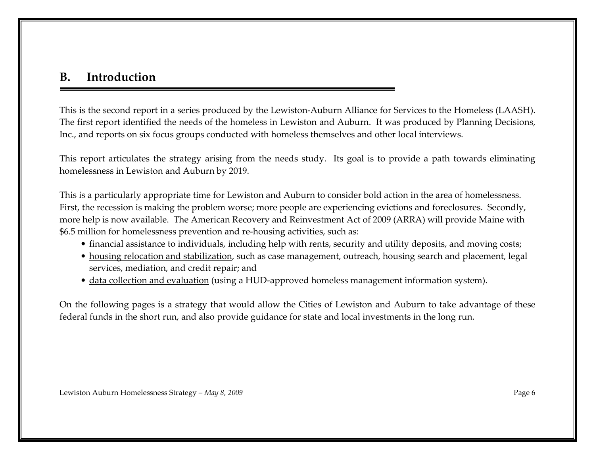#### B. Introduction

This is the second report in a series produced by the Lewiston-Auburn Alliance for Services to the Homeless (LAASH). The first report identified the needs of the homeless in Lewiston and Auburn. It was produced by Planning Decisions, Inc., and reports on six focus groups conducted with homeless themselves and other local interviews.

This report articulates the strategy arising from the needs study. Its goal is to provide a path towards eliminating homelessness in Lewiston and Auburn by 2019.

This is a particularly appropriate time for Lewiston and Auburn to consider bold action in the area of homelessness. First, the recession is making the problem worse; more people are experiencing evictions and foreclosures. Secondly, more help is now available. The American Recovery and Reinvestment Act of 2009 (ARRA) will provide Maine with \$6.5 million for homelessness prevention and re-housing activities, such as:

- financial assistance to individuals, including help with rents, security and utility deposits, and moving costs;
- housing relocation and stabilization, such as case management, outreach, housing search and placement, legal services, mediation, and credit repair; and
- data collection and evaluation (using a HUD-approved homeless management information system).

On the following pages is a strategy that would allow the Cities of Lewiston and Auburn to take advantage of these federal funds in the short run, and also provide guidance for state and local investments in the long run.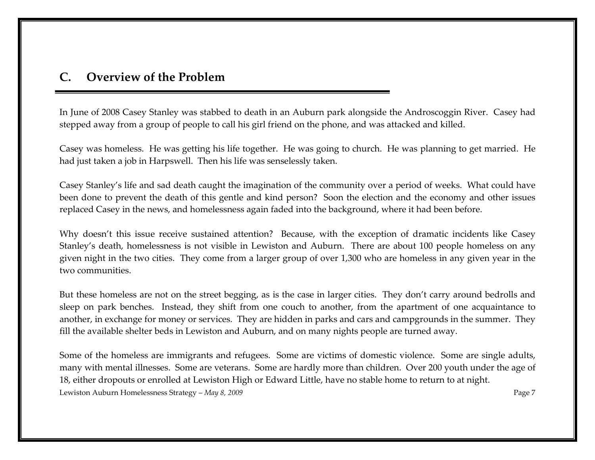#### C. Overview of the Problem

In June of 2008 Casey Stanley was stabbed to death in an Auburn park alongside the Androscoggin River. Casey had stepped away from a group of people to call his girl friend on the phone, and was attacked and killed.

Casey was homeless. He was getting his life together. He was going to church. He was planning to get married. He had just taken a job in Harpswell. Then his life was senselessly taken.

Casey Stanley's life and sad death caught the imagination of the community over a period of weeks. What could have been done to prevent the death of this gentle and kind person? Soon the election and the economy and other issues replaced Casey in the news, and homelessness again faded into the background, where it had been before.

Why doesn't this issue receive sustained attention? Because, with the exception of dramatic incidents like Casey Stanley's death, homelessness is not visible in Lewiston and Auburn. There are about 100 people homeless on any given night in the two cities. They come from a larger group of over 1,300 who are homeless in any given year in the two communities.

But these homeless are not on the street begging, as is the case in larger cities. They don't carry around bedrolls and sleep on park benches. Instead, they shift from one couch to another, from the apartment of one acquaintance to another, in exchange for money or services. They are hidden in parks and cars and campgrounds in the summer. They fill the available shelter beds in Lewiston and Auburn, and on many nights people are turned away.

Lewiston Auburn Homelessness Strategy – May 8, 2009 Page 7 Some of the homeless are immigrants and refugees. Some are victims of domestic violence. Some are single adults, many with mental illnesses. Some are veterans. Some are hardly more than children. Over 200 youth under the age of 18, either dropouts or enrolled at Lewiston High or Edward Little, have no stable home to return to at night.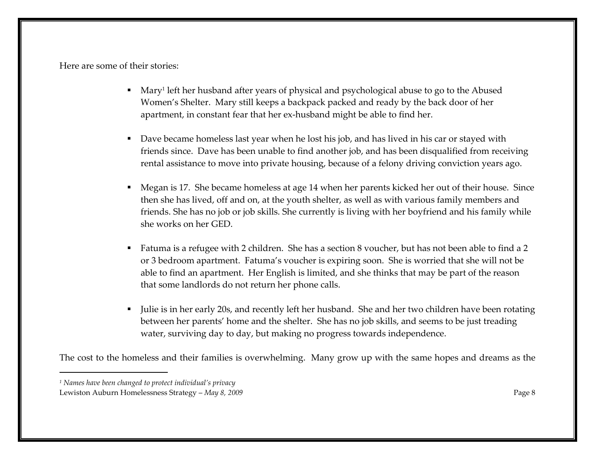Here are some of their stories:

- Mary<sup>1</sup> left her husband after years of physical and psychological abuse to go to the Abused Women's Shelter. Mary still keeps a backpack packed and ready by the back door of her apartment, in constant fear that her ex-husband might be able to find her.
- Dave became homeless last year when he lost his job, and has lived in his car or stayed with friends since. Dave has been unable to find another job, and has been disqualified from receiving rental assistance to move into private housing, because of a felony driving conviction years ago.
- Megan is 17. She became homeless at age 14 when her parents kicked her out of their house. Since then she has lived, off and on, at the youth shelter, as well as with various family members and friends. She has no job or job skills. She currently is living with her boyfriend and his family whileshe works on her GED.
- $\textcolor{red}{\bullet}$  Fatuma is a refugee with 2 children. She has a section 8 voucher, but has not been able to find a 2 or 3 bedroom apartment. Fatuma's voucher is expiring soon. She is worried that she will not be able to find an apartment. Her English is limited, and she thinks that may be part of the reason that some landlords do not return her phone calls.
- Julie is in her early 20s, and recently left her husband. She and her two children have been rotatingbetween her parents' home and the shelter. She has no job skills, and seems to be just treading water, surviving day to day, but making no progress towards independence.

The cost to the homeless and their families is overwhelming. Many grow up with the same hopes and dreams as the

<sup>1</sup> Names have been changed to protect individual's privacy

Lewiston Auburn Homelessness Strategy – May 8, 2009 Page 8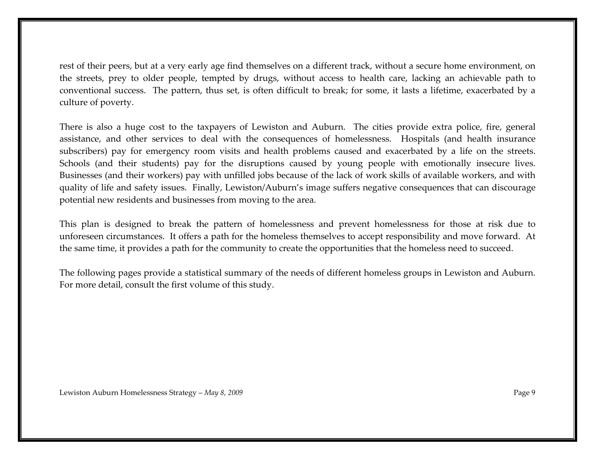rest of their peers, but at a very early age find themselves on a different track, without a secure home environment, on the streets, prey to older people, tempted by drugs, without access to health care, lacking an achievable path to conventional success. The pattern, thus set, is often difficult to break; for some, it lasts a lifetime, exacerbated by a culture of poverty.

There is also a huge cost to the taxpayers of Lewiston and Auburn. The cities provide extra police, fire, general assistance, and other services to deal with the consequences of homelessness. Hospitals (and health insurance subscribers) pay for emergency room visits and health problems caused and exacerbated by a life on the streets. Schools (and their students) pay for the disruptions caused by young people with emotionally insecure lives. Businesses (and their workers) pay with unfilled jobs because of the lack of work skills of available workers, and with quality of life and safety issues. Finally, Lewiston/Auburn's image suffers negative consequences that can discourage potential new residents and businesses from moving to the area.

This plan is designed to break the pattern of homelessness and prevent homelessness for those at risk due to unforeseen circumstances. It offers a path for the homeless themselves to accept responsibility and move forward. At the same time, it provides a path for the community to create the opportunities that the homeless need to succeed.

The following pages provide a statistical summary of the needs of different homeless groups in Lewiston and Auburn. For more detail, consult the first volume of this study.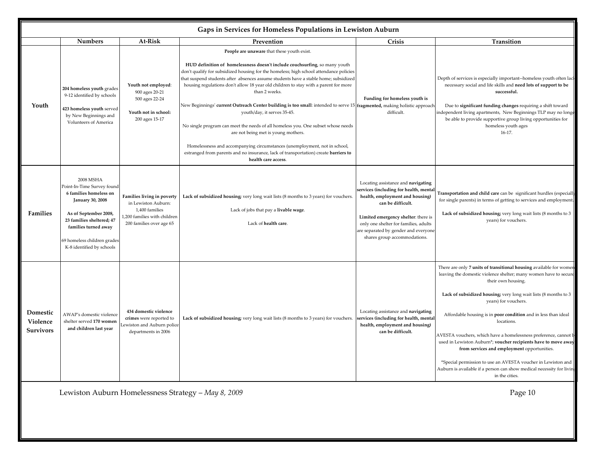|                                   | Gaps in Services for Homeless Populations in Lewiston Auburn                                                                                                                                                                           |                                                                                                                                 |                                                                                                                                                                                                                                                                                                                                                                                                                                                                                                                                                                                                                                                                                                                                                                                                                                                                                                    |                                                                                                                                                                                                                                                                                             |                                                                                                                                                                                                                                                                                                                                                                                                                                                                                                                                                                                                                                                                                       |  |
|-----------------------------------|----------------------------------------------------------------------------------------------------------------------------------------------------------------------------------------------------------------------------------------|---------------------------------------------------------------------------------------------------------------------------------|----------------------------------------------------------------------------------------------------------------------------------------------------------------------------------------------------------------------------------------------------------------------------------------------------------------------------------------------------------------------------------------------------------------------------------------------------------------------------------------------------------------------------------------------------------------------------------------------------------------------------------------------------------------------------------------------------------------------------------------------------------------------------------------------------------------------------------------------------------------------------------------------------|---------------------------------------------------------------------------------------------------------------------------------------------------------------------------------------------------------------------------------------------------------------------------------------------|---------------------------------------------------------------------------------------------------------------------------------------------------------------------------------------------------------------------------------------------------------------------------------------------------------------------------------------------------------------------------------------------------------------------------------------------------------------------------------------------------------------------------------------------------------------------------------------------------------------------------------------------------------------------------------------|--|
|                                   | <b>Numbers</b>                                                                                                                                                                                                                         | At-Risk                                                                                                                         | Prevention                                                                                                                                                                                                                                                                                                                                                                                                                                                                                                                                                                                                                                                                                                                                                                                                                                                                                         | Crisis                                                                                                                                                                                                                                                                                      | Transition                                                                                                                                                                                                                                                                                                                                                                                                                                                                                                                                                                                                                                                                            |  |
| Youth                             | 204 homeless youth grades<br>9-12 identified by schools<br>423 homeless youth served<br>by New Beginnings and<br><b>Volunteers of America</b>                                                                                          | Youth not employed:<br>900 ages 20-21<br>500 ages 22-24<br>Youth not in school:<br>200 ages 15-17                               | People are unaware that these youth exist.<br>HUD definition of homelessness doesn't include couchsurfing, so many youth<br>don't qualify for subsidized housing for the homeless; high school attendance policies<br>that suspend students after absences assume students have a stable home; subsidized<br>housing regulations don't allow 18 year old children to stay with a parent for more<br>than 2 weeks.<br>New Beginnings' current Outreach Center building is too small: intended to serve 15 fragmented, making holistic approach<br>youth/day, it serves 35-45.<br>No single program can meet the needs of all homeless you. One subset whose needs<br>are not being met is young mothers.<br>Homelessness and accompanying circumstances (unemployment, not in school,<br>estranged from parents and no insurance, lack of transportation) create barriers to<br>health care access. | Funding for homeless youth is<br>difficult.                                                                                                                                                                                                                                                 | Depth of services is especially important--homeless youth often lack<br>necessary social and life skills and need lots of support to be<br>successful.<br>Due to significant funding changes requiring a shift toward<br>ndependent living apartments, New Beginnings TLP may no longe<br>be able to provide supportive group living opportunities for<br>homeless youth ages<br>$16-17.$                                                                                                                                                                                                                                                                                             |  |
| Families                          | 2008 MSHA<br>Point-In-Time Survey found<br>6 families homeless on<br><b>January 30, 2008</b><br>As of September 2008,<br>23 families sheltered; 47<br>families turned away<br>59 homeless children grades<br>K-8 identified by schools | Families living in poverty<br>in Lewiston Auburn:<br>1,400 families<br>1,200 families with children<br>200 families over age 65 | Lack of subsidized housing; very long wait lists (8 months to 3 years) for vouchers.<br>Lack of jobs that pay a livable wage.<br>Lack of health care.                                                                                                                                                                                                                                                                                                                                                                                                                                                                                                                                                                                                                                                                                                                                              | Locating assistance and navigating<br>services (including for health, menta<br>health, employment and housing)<br>can be difficult.<br>Limited emergency shelter: there is<br>only one shelter for families, adults<br>are separated by gender and everyone<br>shares group accommodations. | Transportation and child care can be significant hurdles (especiall<br>for single parents) in terms of getting to services and employment.<br>Lack of subsidized housing; very long wait lists (8 months to 3<br>years) for vouchers.                                                                                                                                                                                                                                                                                                                                                                                                                                                 |  |
| Domestic<br>Violence<br>Survivors | AWAP's domestic violence<br>shelter served 170 women<br>and children last year                                                                                                                                                         | 434 domestic violence<br>crimes were reported to<br>ewiston and Auburn police<br>departments in 2006                            | Lack of subsidized housing; very long wait lists (8 months to 3 years) for vouchers.                                                                                                                                                                                                                                                                                                                                                                                                                                                                                                                                                                                                                                                                                                                                                                                                               | Locating assistance and navigating<br>ervices (including for health, mental<br>health, employment and housing)<br>can be difficult.                                                                                                                                                         | There are only 7 units of transitional housing available for womer<br>leaving the domestic violence shelter; many women have to secure<br>their own housing.<br>Lack of subsidized housing; very long wait lists (8 months to 3<br>years) for vouchers.<br>Affordable housing is in poor condition and in less than ideal<br>locations.<br>AVESTA vouchers, which have a homelessness preference, cannot b<br>used in Lewiston Auburn*; voucher recipients have to move away<br>from services and employment opportunities.<br>*Special permission to use an AVESTA voucher in Lewiston and<br>Auburn is available if a person can show medical necessity for livin<br>in the cities. |  |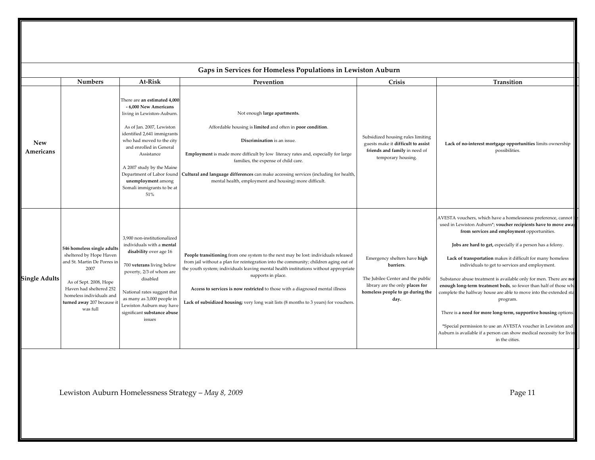| Gaps in Services for Homeless Populations in Lewiston Auburn |                                                                                                                                                                                                                         |                                                                                                                                                                                                                                                                                                                                            |                                                                                                                                                                                                                                                                                                                                                                                                                                                                   |                                                                                                                                                               |                                                                                                                                                                                                                                                                                                                                                                                                                                                                                                                                                                                                                                                                                                                                                                                                                    |
|--------------------------------------------------------------|-------------------------------------------------------------------------------------------------------------------------------------------------------------------------------------------------------------------------|--------------------------------------------------------------------------------------------------------------------------------------------------------------------------------------------------------------------------------------------------------------------------------------------------------------------------------------------|-------------------------------------------------------------------------------------------------------------------------------------------------------------------------------------------------------------------------------------------------------------------------------------------------------------------------------------------------------------------------------------------------------------------------------------------------------------------|---------------------------------------------------------------------------------------------------------------------------------------------------------------|--------------------------------------------------------------------------------------------------------------------------------------------------------------------------------------------------------------------------------------------------------------------------------------------------------------------------------------------------------------------------------------------------------------------------------------------------------------------------------------------------------------------------------------------------------------------------------------------------------------------------------------------------------------------------------------------------------------------------------------------------------------------------------------------------------------------|
|                                                              | <b>Numbers</b>                                                                                                                                                                                                          | At-Risk                                                                                                                                                                                                                                                                                                                                    | Prevention                                                                                                                                                                                                                                                                                                                                                                                                                                                        | Crisis                                                                                                                                                        | Transition                                                                                                                                                                                                                                                                                                                                                                                                                                                                                                                                                                                                                                                                                                                                                                                                         |
| <b>New</b><br>Americans                                      |                                                                                                                                                                                                                         | There are an estimated 4,000<br>- 6,000 New Americans<br>living in Lewiston-Auburn.<br>As of Jan. 2007, Lewiston<br>identified 2,641 immigrants<br>who had moved to the city<br>and enrolled in General<br>Assistance<br>A 2007 study by the Maine<br>Department of Labor found<br>unemployment among<br>Somali immigrants to be at<br>51% | Not enough large apartments.<br>Affordable housing is limited and often in poor condition.<br>Discrimination is an issue.<br>Employment is made more difficult by low literacy rates and, especially for large<br>families, the expense of child care.<br>Cultural and language differences can make accessing services (including for health,<br>mental health, employment and housing) more difficult.                                                          | Subsidized housing rules limiting<br>guests make it difficult to assist<br>friends and family in need of<br>temporary housing.                                | Lack of no-interest mortgage opportunities limits ownership<br>possibilities.                                                                                                                                                                                                                                                                                                                                                                                                                                                                                                                                                                                                                                                                                                                                      |
| <b>Single Adults</b>                                         | 546 homeless single adults<br>sheltered by Hope Haven<br>and St. Martin De Porres ir<br>2007<br>As of Sept. 2008, Hope<br>Haven had sheltered 252<br>homeless individuals and<br>turned away 207 because it<br>was full | 3,900 non-institutionalized<br>individuals with a mental<br>disability over age 16<br>700 veterans living below<br>poverty, 2/3 of whom are<br>disabled<br>National rates suggest that<br>as many as 3,000 people in<br>Lewiston Auburn may have<br>significant substance abuse<br>issues                                                  | People transitioning from one system to the next may be lost: individuals released<br>from jail without a plan for reintegration into the community; children aging out of<br>the youth system; individuals leaving mental health institutions without appropriate<br>supports in place.<br>Access to services is now restricted to those with a diagnosed mental illness<br>Lack of subsidized housing; very long wait lists (8 months to 3 years) for vouchers. | Emergency shelters have high<br>barriers.<br>The Jubilee Center and the public<br>library are the only places for<br>homeless people to go during the<br>day. | AVESTA vouchers, which have a homelessness preference, cannot<br>used in Lewiston Auburn*; voucher recipients have to move awa<br>from services and employment opportunities.<br>Jobs are hard to get, especially if a person has a felony.<br>Lack of transportation makes it difficult for many homeless<br>individuals to get to services and employment.<br>Substance abuse treatment is available only for men. There are no<br>enough long-term treatment beds, so fewer than half of those wh<br>complete the halfway house are able to move into the extended sta<br>program.<br>There is a need for more long-term, supportive housing options.<br>*Special permission to use an AVESTA voucher in Lewiston and<br>Auburn is available if a person can show medical necessity for livin<br>in the cities. |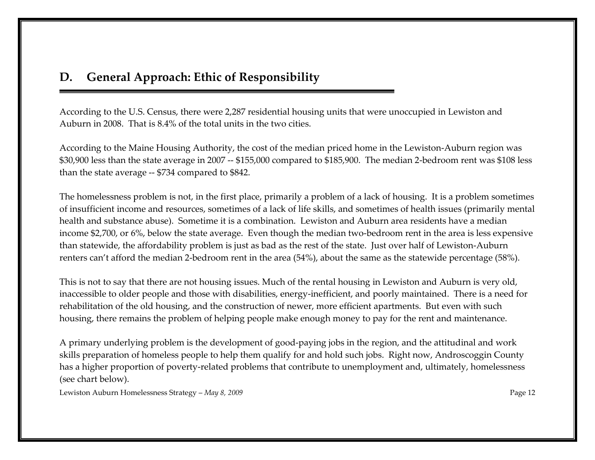#### D. General Approach: Ethic of Responsibility

According to the U.S. Census, there were 2,287 residential housing units that were unoccupied in Lewiston and Auburn in 2008. That is 8.4% of the total units in the two cities.

According to the Maine Housing Authority, the cost of the median priced home in the Lewiston-Auburn region was \$30,900 less than the state average in 2007 -- \$155,000 compared to \$185,900. The median 2-bedroom rent was \$108 less than the state average -- \$734 compared to \$842.

The homelessness problem is not, in the first place, primarily a problem of a lack of housing. It is a problem sometimes of insufficient income and resources, sometimes of a lack of life skills, and sometimes of health issues (primarily mental health and substance abuse). Sometime it is a combination. Lewiston and Auburn area residents have a median income \$2,700, or 6%, below the state average. Even though the median two-bedroom rent in the area is less expensive than statewide, the affordability problem is just as bad as the rest of the state. Just over half of Lewiston-Auburn renters can't afford the median 2-bedroom rent in the area (54%), about the same as the statewide percentage (58%).

This is not to say that there are not housing issues. Much of the rental housing in Lewiston and Auburn is very old, inaccessible to older people and those with disabilities, energy-inefficient, and poorly maintained. There is a need for rehabilitation of the old housing, and the construction of newer, more efficient apartments. But even with such housing, there remains the problem of helping people make enough money to pay for the rent and maintenance.

A primary underlying problem is the development of good-paying jobs in the region, and the attitudinal and work skills preparation of homeless people to help them qualify for and hold such jobs. Right now, Androscoggin County has a higher proportion of poverty-related problems that contribute to unemployment and, ultimately, homelessness (see chart below).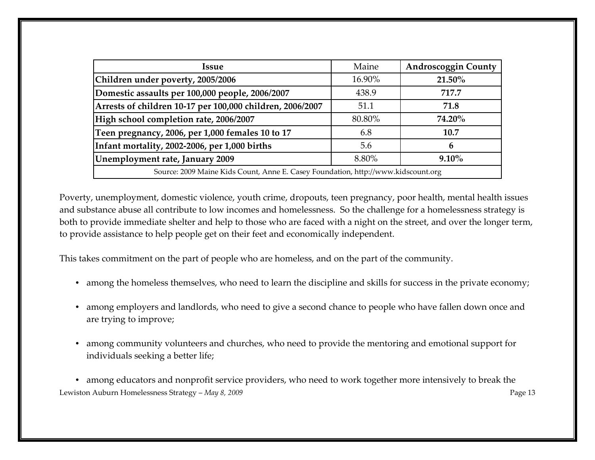| Issue                                                                             | Maine  | <b>Androscoggin County</b> |  |  |
|-----------------------------------------------------------------------------------|--------|----------------------------|--|--|
| Children under poverty, 2005/2006                                                 | 16.90% | 21.50%                     |  |  |
| Domestic assaults per 100,000 people, 2006/2007                                   | 438.9  | 717.7                      |  |  |
| Arrests of children 10-17 per 100,000 children, 2006/2007                         | 51.1   | 71.8                       |  |  |
| High school completion rate, 2006/2007                                            | 80.80% | 74.20%                     |  |  |
| Teen pregnancy, 2006, per 1,000 females 10 to 17                                  | 6.8    | 10.7                       |  |  |
| Infant mortality, 2002-2006, per 1,000 births                                     | 5.6    | 6                          |  |  |
| Unemployment rate, January 2009                                                   | 8.80%  | $9.10\%$                   |  |  |
| Source: 2009 Maine Kids Count, Anne E. Casey Foundation, http://www.kidscount.org |        |                            |  |  |

Poverty, unemployment, domestic violence, youth crime, dropouts, teen pregnancy, poor health, mental health issues and substance abuse all contribute to low incomes and homelessness. So the challenge for a homelessness strategy is both to provide immediate shelter and help to those who are faced with a night on the street, and over the longer term, to provide assistance to help people get on their feet and economically independent.

This takes commitment on the part of people who are homeless, and on the part of the community.

- among the homeless themselves, who need to learn the discipline and skills for success in the private economy;
- among employers and landlords, who need to give a second chance to people who have fallen down once and are trying to improve;
- among community volunteers and churches, who need to provide the mentoring and emotional support for individuals seeking a better life;

Lewiston Auburn Homelessness Strategy – May 8, 2009 Page 13 • among educators and nonprofit service providers, who need to work together more intensively to break the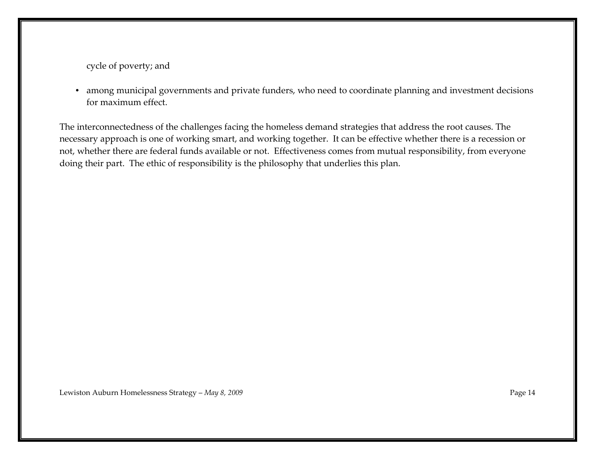cycle of poverty; and

• among municipal governments and private funders, who need to coordinate planning and investment decisions for maximum effect.

The interconnectedness of the challenges facing the homeless demand strategies that address the root causes. The necessary approach is one of working smart, and working together. It can be effective whether there is a recession or not, whether there are federal funds available or not. Effectiveness comes from mutual responsibility, from everyone doing their part. The ethic of responsibility is the philosophy that underlies this plan.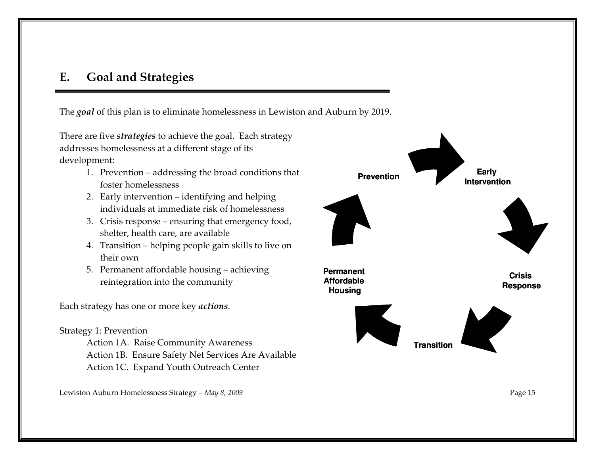#### E. Goal and Strategies

The *goal* of this plan is to eliminate homelessness in Lewiston and Auburn by 2019.

There are five strategies to achieve the goal. Each strategy addresses homelessness at a different stage of its development:

- 1. Prevention addressing the broad conditions that foster homelessness
- 2. Early intervention identifying and helping individuals at immediate risk of homelessness
- 3. Crisis response ensuring that emergency food, shelter, health care, are available
- 4. Transition helping people gain skills to live on their own
- 5. Permanent affordable housing achieving reintegration into the community

Each strategy has one or more key actions.

#### Strategy 1: Prevention

Action 1A. Raise Community Awareness Action 1B. Ensure Safety Net Services Are Available Action 1C. Expand Youth Outreach Center

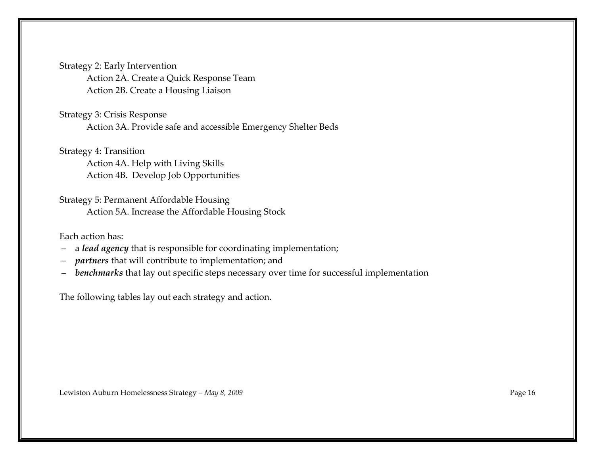Strategy 2: Early Intervention Action 2A. Create a Quick Response Team Action 2B. Create a Housing Liaison

#### Strategy 3: Crisis Response

Action 3A. Provide safe and accessible Emergency Shelter Beds

Strategy 4: Transition

Action 4A. Help with Living Skills Action 4B. Develop Job Opportunities

Strategy 5: Permanent Affordable Housing Action 5A. Increase the Affordable Housing Stock

## Each action has:<br>- a *lead agenc*

- a lead agency that is responsible for coordinating implementation;
- *partners* that will contribute to implementation; and
- benchmarks that lay out specific steps necessary over time for successful implementation

The following tables lay out each strategy and action.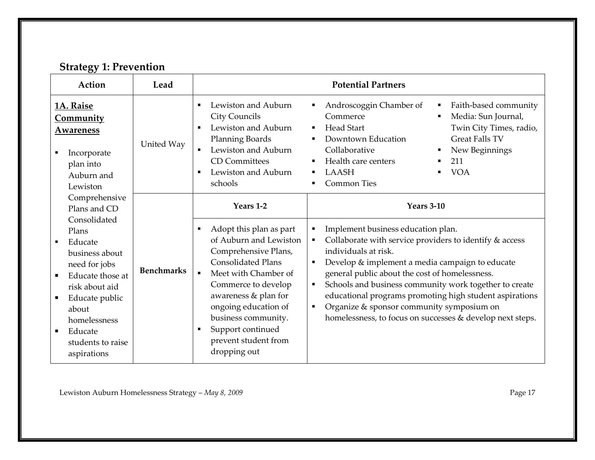### Strategy 1: Prevention

| Action                                                                                                                                                                                                                                                                   | Lead              |                                                                                                                                                                                                                                                                                                                                                              | <b>Potential Partners</b>                                                                                                                                                                                                                                                                                                                                                                                                                                                                                                                 |
|--------------------------------------------------------------------------------------------------------------------------------------------------------------------------------------------------------------------------------------------------------------------------|-------------------|--------------------------------------------------------------------------------------------------------------------------------------------------------------------------------------------------------------------------------------------------------------------------------------------------------------------------------------------------------------|-------------------------------------------------------------------------------------------------------------------------------------------------------------------------------------------------------------------------------------------------------------------------------------------------------------------------------------------------------------------------------------------------------------------------------------------------------------------------------------------------------------------------------------------|
| 1A. Raise<br><u>Community</u><br><u>Awareness</u><br>Incorporate<br>plan into<br>Auburn and<br>Lewiston                                                                                                                                                                  | United Way        | Lewiston and Auburn<br>$\blacksquare$<br>City Councils<br>Lewiston and Auburn<br>$\blacksquare$<br><b>Planning Boards</b><br>Lewiston and Auburn<br>$\blacksquare$<br><b>CD</b> Committees<br>Lewiston and Auburn<br>$\blacksquare$<br>schools                                                                                                               | Androscoggin Chamber of<br>Faith-based community<br>Commerce<br>Media: Sun Journal,<br><b>Head Start</b><br>Twin City Times, radio,<br>$\blacksquare$<br>Downtown Education<br><b>Great Falls TV</b><br>Collaborative<br>New Beginnings<br>Health care centers<br>211<br><b>VOA</b><br><b>LAASH</b><br><b>Common Ties</b>                                                                                                                                                                                                                 |
| Comprehensive<br>Plans and CD<br>Consolidated<br>Plans<br>Educate<br>$\blacksquare$<br>business about<br>need for jobs<br>Educate those at<br>risk about aid<br>Educate public<br>about<br>homelessness<br>Educate<br>$\blacksquare$<br>students to raise<br>aspirations | <b>Benchmarks</b> | Years 1-2<br>Adopt this plan as part<br>$\blacksquare$<br>of Auburn and Lewiston<br>Comprehensive Plans,<br><b>Consolidated Plans</b><br>Meet with Chamber of<br>$\blacksquare$<br>Commerce to develop<br>awareness & plan for<br>ongoing education of<br>business community.<br>Support continued<br>$\blacksquare$<br>prevent student from<br>dropping out | <b>Years 3-10</b><br>Implement business education plan.<br>$\blacksquare$<br>Collaborate with service providers to identify & access<br>individuals at risk.<br>Develop & implement a media campaign to educate<br>$\blacksquare$<br>general public about the cost of homelessness.<br>Schools and business community work together to create<br>$\blacksquare$<br>educational programs promoting high student aspirations<br>Organize & sponsor community symposium on<br>٠<br>homelessness, to focus on successes & develop next steps. |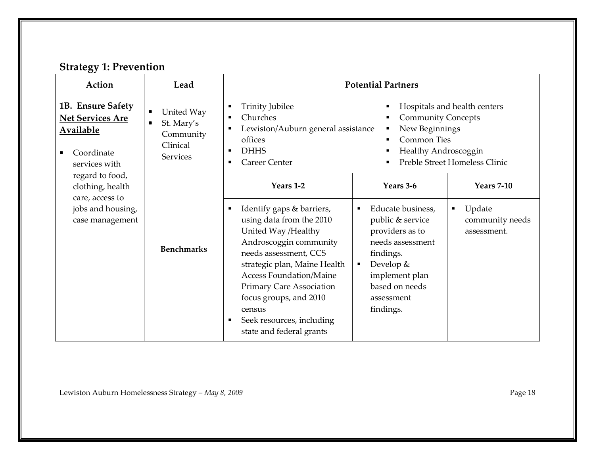### Strategy 1: Prevention

| Action                                                                                                            | Lead                                                                                                     | <b>Potential Partners</b>                                                                                                                                                                                                                                                                                                  |                                                                                                                                                                                                |                                               |  |
|-------------------------------------------------------------------------------------------------------------------|----------------------------------------------------------------------------------------------------------|----------------------------------------------------------------------------------------------------------------------------------------------------------------------------------------------------------------------------------------------------------------------------------------------------------------------------|------------------------------------------------------------------------------------------------------------------------------------------------------------------------------------------------|-----------------------------------------------|--|
| 1B. Ensure Safety<br><b>Net Services Are</b><br><b>Available</b><br>Coordinate<br>$\blacksquare$<br>services with | United Way<br>$\blacksquare$<br>St. Mary's<br>$\blacksquare$<br>Community<br>Clinical<br><b>Services</b> | <b>Trinity Jubilee</b><br>Hospitals and health centers<br>٠<br>Churches<br><b>Community Concepts</b><br>New Beginnings<br>Lewiston/Auburn general assistance<br><b>Common Ties</b><br>offices<br><b>DHHS</b><br>Healthy Androscoggin<br>$\blacksquare$<br>Preble Street Homeless Clinic<br><b>Career Center</b>            |                                                                                                                                                                                                |                                               |  |
| regard to food,<br>clothing, health<br>care, access to                                                            |                                                                                                          | Years 1-2                                                                                                                                                                                                                                                                                                                  | Years 3-6                                                                                                                                                                                      | <b>Years 7-10</b>                             |  |
| jobs and housing,<br>case management                                                                              | <b>Benchmarks</b>                                                                                        | Identify gaps & barriers,<br>using data from the 2010<br>United Way /Healthy<br>Androscoggin community<br>needs assessment, CCS<br>strategic plan, Maine Health<br>Access Foundation/Maine<br><b>Primary Care Association</b><br>focus groups, and 2010<br>census<br>Seek resources, including<br>state and federal grants | Educate business,<br>$\blacksquare$<br>public & service<br>providers as to<br>needs assessment<br>findings.<br>Develop $&$<br>٠<br>implement plan<br>based on needs<br>assessment<br>findings. | Update<br>٠<br>community needs<br>assessment. |  |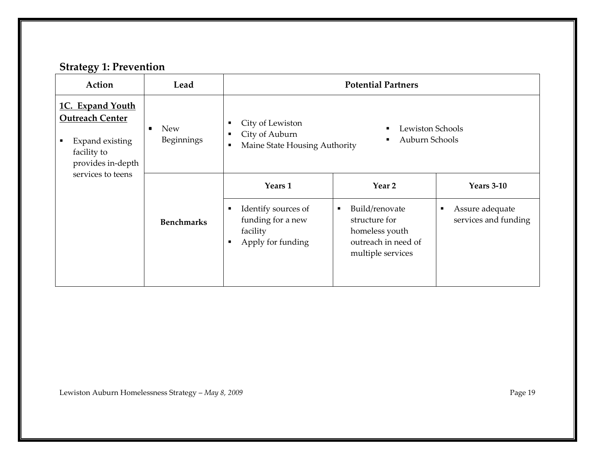#### Strategy 1: Prevention

| Action                                                                                                              | Lead                                       | <b>Potential Partners</b>                                                                                                                                    |                                                                                                                 |                                                           |  |
|---------------------------------------------------------------------------------------------------------------------|--------------------------------------------|--------------------------------------------------------------------------------------------------------------------------------------------------------------|-----------------------------------------------------------------------------------------------------------------|-----------------------------------------------------------|--|
| 1C. Expand Youth<br><b>Outreach Center</b><br>Expand existing<br>$\blacksquare$<br>facility to<br>provides in-depth | <b>New</b><br>$\blacksquare$<br>Beginnings | City of Lewiston<br>٠<br>Lewiston Schools<br>$\blacksquare$<br>City of Auburn<br>٠<br>Auburn Schools<br>$\blacksquare$<br>Maine State Housing Authority<br>п |                                                                                                                 |                                                           |  |
| services to teens                                                                                                   |                                            | Years 1                                                                                                                                                      | Year 2                                                                                                          | <b>Years 3-10</b>                                         |  |
|                                                                                                                     | <b>Benchmarks</b>                          | Identify sources of<br>funding for a new<br>facility<br>Apply for funding                                                                                    | Build/renovate<br>$\blacksquare$<br>structure for<br>homeless youth<br>outreach in need of<br>multiple services | Assure adequate<br>$\blacksquare$<br>services and funding |  |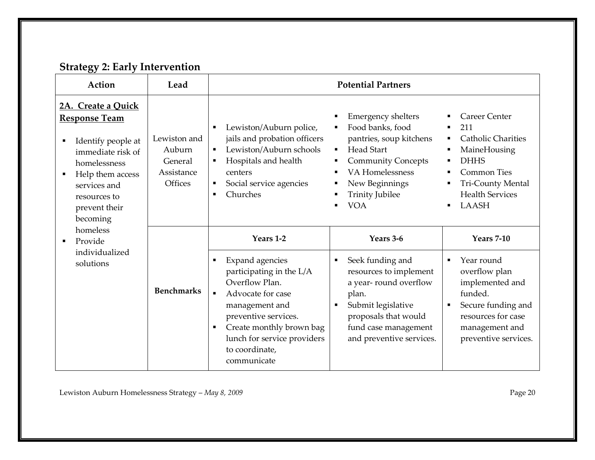#### Strategy 2: Early Intervention

| Action                                                                                                                                                                                                                     | Lead                                                              | <b>Potential Partners</b>                                                                                                                                                                                                                                                |                                                                                                                                                                                                         |                                                                                                                                                                                 |
|----------------------------------------------------------------------------------------------------------------------------------------------------------------------------------------------------------------------------|-------------------------------------------------------------------|--------------------------------------------------------------------------------------------------------------------------------------------------------------------------------------------------------------------------------------------------------------------------|---------------------------------------------------------------------------------------------------------------------------------------------------------------------------------------------------------|---------------------------------------------------------------------------------------------------------------------------------------------------------------------------------|
| 2A. Create a Quick<br><b>Response Team</b><br>Identify people at<br>$\blacksquare$<br>immediate risk of<br>homelessness<br>Help them access<br>$\blacksquare$<br>services and<br>resources to<br>prevent their<br>becoming | Lewiston and<br>Auburn<br>General<br>Assistance<br><b>Offices</b> | Lewiston/Auburn police,<br>٠<br>jails and probation officers<br>Lewiston/Auburn schools<br>$\blacksquare$<br>Hospitals and health<br>٠<br>centers<br>Social service agencies<br>٠<br>Churches<br>$\blacksquare$                                                          | <b>Emergency shelters</b><br>Food banks, food<br>pantries, soup kitchens<br><b>Head Start</b><br><b>Community Concepts</b><br>VA Homelessness<br>New Beginnings<br><b>Trinity Jubilee</b><br><b>VOA</b> | <b>Career Center</b><br>211<br>п<br><b>Catholic Charities</b><br>٠<br>MaineHousing<br><b>DHHS</b><br><b>Common Ties</b><br>Tri-County Mental<br><b>Health Services</b><br>LAASH |
| homeless<br>Provide<br>$\blacksquare$<br>individualized<br>solutions                                                                                                                                                       | <b>Benchmarks</b>                                                 | Years 1-2<br><b>Expand agencies</b><br>٠<br>participating in the L/A<br>Overflow Plan.<br>$\blacksquare$<br>Advocate for case<br>management and<br>preventive services.<br>Create monthly brown bag<br>٠<br>lunch for service providers<br>to coordinate,<br>communicate | Years 3-6<br>Seek funding and<br>٠<br>resources to implement<br>a year-round overflow<br>plan.<br>Submit legislative<br>proposals that would<br>fund case management<br>and preventive services.        | <b>Years 7-10</b><br>Year round<br>overflow plan<br>implemented and<br>funded.<br>Secure funding and<br>resources for case<br>management and<br>preventive services.            |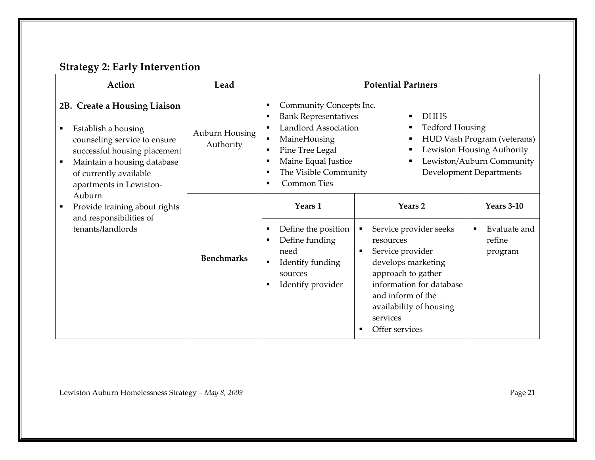#### Strategy 2: Early Intervention

| Action                                                                                                                                                                                                                                      | Lead                        | <b>Potential Partners</b>                                                                                                                                                                                             |                                                                                                                                                                                                                                                 |                                                                                                                          |  |
|---------------------------------------------------------------------------------------------------------------------------------------------------------------------------------------------------------------------------------------------|-----------------------------|-----------------------------------------------------------------------------------------------------------------------------------------------------------------------------------------------------------------------|-------------------------------------------------------------------------------------------------------------------------------------------------------------------------------------------------------------------------------------------------|--------------------------------------------------------------------------------------------------------------------------|--|
| 2B. Create a Housing Liaison<br>Establish a housing<br>$\blacksquare$<br>counseling service to ensure<br>successful housing placement<br>Maintain a housing database<br>$\blacksquare$<br>of currently available<br>apartments in Lewiston- | Auburn Housing<br>Authority | Community Concepts Inc.<br>٠<br><b>Bank Representatives</b><br><b>Landlord Association</b><br>MaineHousing<br>Pine Tree Legal<br>$\blacksquare$<br>Maine Equal Justice<br>The Visible Community<br><b>Common Ties</b> | <b>DHHS</b><br>п<br><b>Tedford Housing</b><br>в<br>п                                                                                                                                                                                            | HUD Vash Program (veterans)<br>Lewiston Housing Authority<br>Lewiston/Auburn Community<br><b>Development Departments</b> |  |
| Auburn<br>Provide training about rights<br>$\blacksquare$<br>and responsibilities of<br>tenants/landlords                                                                                                                                   | <b>Benchmarks</b>           | Years 1<br>Define the position<br>Define funding<br>need<br>Identify funding<br>$\blacksquare$<br>sources<br>Identify provider                                                                                        | Years 2<br>Service provider seeks<br>٠<br>resources<br>Service provider<br>$\blacksquare$<br>develops marketing<br>approach to gather<br>information for database<br>and inform of the<br>availability of housing<br>services<br>Offer services | <b>Years 3-10</b><br>Evaluate and<br>$\blacksquare$<br>refine<br>program                                                 |  |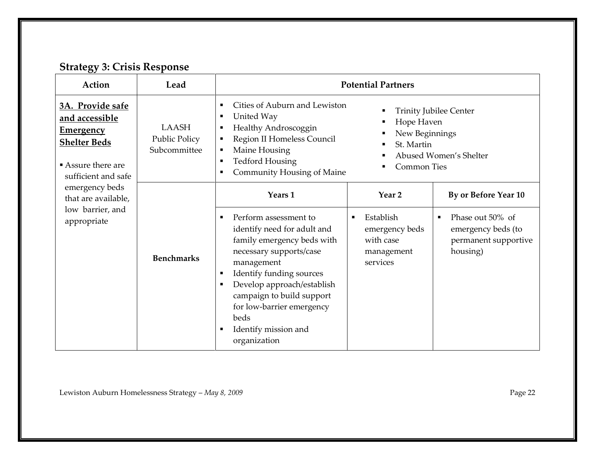### Strategy 3: Crisis Response

| Action                                                                                                                   | Lead                                                 | <b>Potential Partners</b>                                                                                                                                                                                                                                                                                                                                                                                                               |                                                                    |                                                                            |  |
|--------------------------------------------------------------------------------------------------------------------------|------------------------------------------------------|-----------------------------------------------------------------------------------------------------------------------------------------------------------------------------------------------------------------------------------------------------------------------------------------------------------------------------------------------------------------------------------------------------------------------------------------|--------------------------------------------------------------------|----------------------------------------------------------------------------|--|
| 3A. Provide safe<br>and accessible<br><b>Emergency</b><br><b>Shelter Beds</b><br>Assure there are<br>sufficient and safe | <b>LAASH</b><br><b>Public Policy</b><br>Subcommittee | Cities of Auburn and Lewiston<br>$\blacksquare$<br><b>Trinity Jubilee Center</b><br>United Way<br>$\blacksquare$<br>Hope Haven<br>Healthy Androscoggin<br>$\blacksquare$<br>New Beginnings<br>Region II Homeless Council<br>$\blacksquare$<br>St. Martin<br>Maine Housing<br>$\blacksquare$<br>Abused Women's Shelter<br><b>Tedford Housing</b><br>$\blacksquare$<br><b>Common Ties</b><br>Community Housing of Maine<br>$\blacksquare$ |                                                                    |                                                                            |  |
| emergency beds<br>that are available,                                                                                    |                                                      | Years 1                                                                                                                                                                                                                                                                                                                                                                                                                                 | Year <sub>2</sub>                                                  | By or Before Year 10                                                       |  |
| low barrier, and<br>appropriate                                                                                          | <b>Benchmarks</b>                                    | Perform assessment to<br>$\blacksquare$<br>identify need for adult and<br>family emergency beds with<br>necessary supports/case<br>management<br>Identify funding sources<br>$\blacksquare$<br>Develop approach/establish<br>$\blacksquare$<br>campaign to build support<br>for low-barrier emergency<br>beds<br>Identify mission and<br>$\blacksquare$<br>organization                                                                 | Establish<br>emergency beds<br>with case<br>management<br>services | Phase out 50% of<br>emergency beds (to<br>permanent supportive<br>housing) |  |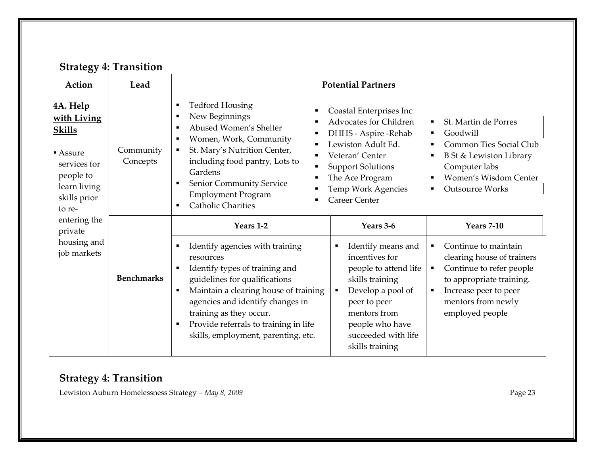#### Strategy 4: Transition

| Action                                                                                                                             | Lead                  | <b>Potential Partners</b>                                                                                                                                                                                                                                                                                                 |                                                                                                                                                                                                                         |                                                                                                                                                                                        |  |
|------------------------------------------------------------------------------------------------------------------------------------|-----------------------|---------------------------------------------------------------------------------------------------------------------------------------------------------------------------------------------------------------------------------------------------------------------------------------------------------------------------|-------------------------------------------------------------------------------------------------------------------------------------------------------------------------------------------------------------------------|----------------------------------------------------------------------------------------------------------------------------------------------------------------------------------------|--|
| <u>4A. Help</u><br>with Living<br><b>Skills</b><br>$Assure$<br>services for<br>people to<br>learn living<br>skills prior<br>to re- | Community<br>Concepts | <b>Tedford Housing</b><br>п<br>New Beginnings<br>Abused Women's Shelter<br>Women, Work, Community<br>St. Mary's Nutrition Center,<br>٠<br>including food pantry, Lots to<br>Gardens<br>Senior Community Service<br><b>Employment Program</b><br><b>Catholic Charities</b>                                                 | Coastal Enterprises Inc<br><b>Advocates for Children</b><br>DHHS - Aspire - Rehab<br>Lewiston Adult Ed.<br>Veteran' Center<br><b>Support Solutions</b><br>The Ace Program<br>Temp Work Agencies<br><b>Career Center</b> | St. Martin de Porres<br>Goodwill<br>Common Ties Social Club<br>B St & Lewiston Library<br>Computer labs<br>Women's Wisdom Center<br><b>Outsource Works</b>                             |  |
| entering the<br>private                                                                                                            |                       | Years 1-2                                                                                                                                                                                                                                                                                                                 | Years 3-6                                                                                                                                                                                                               | <b>Years 7-10</b>                                                                                                                                                                      |  |
| housing and<br>job markets                                                                                                         | <b>Benchmarks</b>     | Identify agencies with training<br>resources<br>Identify types of training and<br>guidelines for qualifications<br>Maintain a clearing house of training<br>agencies and identify changes in<br>training as they occur.<br>Provide referrals to training in life<br>$\blacksquare$<br>skills, employment, parenting, etc. | Identify means and<br>incentives for<br>people to attend life<br>skills training<br>Develop a pool of<br>peer to peer<br>mentors from<br>people who have<br>succeeded with life<br>skills training                      | Continue to maintain<br>٠<br>clearing house of trainers<br>Continue to refer people<br>٠<br>to appropriate training.<br>Increase peer to peer<br>mentors from newly<br>employed people |  |

#### Strategy 4: Transition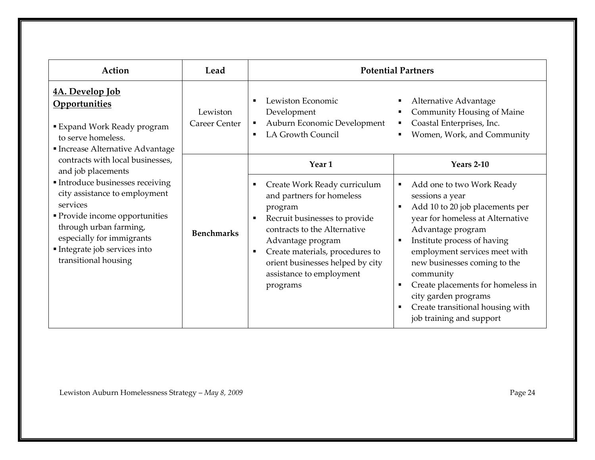| Action                                                                                                                                                                                                                                                                                | Lead                             |                                                                                                                                                                                                                                                                                                                              | <b>Potential Partners</b>                                                                                                                                                                                                                                                                                                                                                                                                                                                                         |
|---------------------------------------------------------------------------------------------------------------------------------------------------------------------------------------------------------------------------------------------------------------------------------------|----------------------------------|------------------------------------------------------------------------------------------------------------------------------------------------------------------------------------------------------------------------------------------------------------------------------------------------------------------------------|---------------------------------------------------------------------------------------------------------------------------------------------------------------------------------------------------------------------------------------------------------------------------------------------------------------------------------------------------------------------------------------------------------------------------------------------------------------------------------------------------|
| 4A. Develop Job<br>Opportunities<br><b>Expand Work Ready program</b><br>to serve homeless.<br>Increase Alternative Advantage                                                                                                                                                          | Lewiston<br><b>Career Center</b> | Lewiston Economic<br>Development<br>Auburn Economic Development<br>$\blacksquare$<br><b>LA Growth Council</b><br>٠                                                                                                                                                                                                           | Alternative Advantage<br>٠<br>Community Housing of Maine<br>Coastal Enterprises, Inc.<br>٠<br>Women, Work, and Community<br>٠                                                                                                                                                                                                                                                                                                                                                                     |
| contracts with local businesses,<br>and job placements<br>Introduce businesses receiving<br>city assistance to employment<br>services<br>• Provide income opportunities<br>through urban farming,<br>especially for immigrants<br>Integrate job services into<br>transitional housing | <b>Benchmarks</b>                | Year 1<br>Create Work Ready curriculum<br>٠<br>and partners for homeless<br>program<br>Recruit businesses to provide<br>$\blacksquare$<br>contracts to the Alternative<br>Advantage program<br>Create materials, procedures to<br>$\blacksquare$<br>orient businesses helped by city<br>assistance to employment<br>programs | <b>Years 2-10</b><br>Add one to two Work Ready<br>$\blacksquare$<br>sessions a year<br>Add 10 to 20 job placements per<br>$\blacksquare$<br>year for homeless at Alternative<br>Advantage program<br>Institute process of having<br>$\blacksquare$<br>employment services meet with<br>new businesses coming to the<br>community<br>Create placements for homeless in<br>$\blacksquare$<br>city garden programs<br>Create transitional housing with<br>$\blacksquare$<br>job training and support |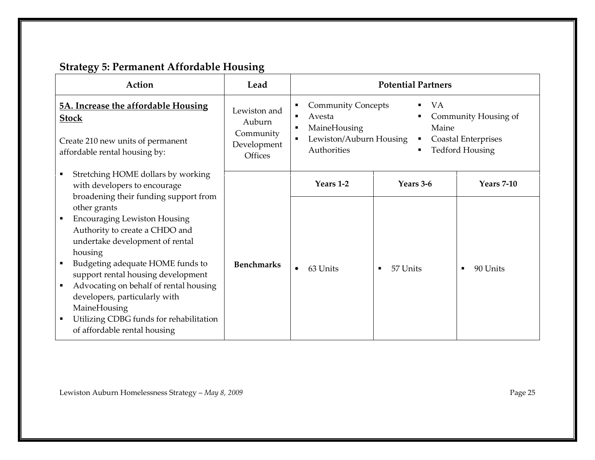## Strategy 5: Permanent Affordable Housing

| Action                                                                                                                                                                                                                                                                                                                                                                                                                                      | Lead                                       | <b>Potential Partners</b>                                |                                                                                                    |                   |
|---------------------------------------------------------------------------------------------------------------------------------------------------------------------------------------------------------------------------------------------------------------------------------------------------------------------------------------------------------------------------------------------------------------------------------------------|--------------------------------------------|----------------------------------------------------------|----------------------------------------------------------------------------------------------------|-------------------|
| <b>5A. Increase the affordable Housing</b><br><b>Stock</b>                                                                                                                                                                                                                                                                                                                                                                                  | Lewiston and<br>Auburn                     | <b>Community Concepts</b><br>Avesta<br>٠<br>MaineHousing | <b>VA</b><br>Community Housing of<br>Maine<br><b>Coastal Enterprises</b><br><b>Tedford Housing</b> |                   |
| Create 210 new units of permanent<br>affordable rental housing by:                                                                                                                                                                                                                                                                                                                                                                          | Community<br>Development<br><b>Offices</b> | Lewiston/Auburn Housing<br>Authorities                   |                                                                                                    |                   |
| Stretching HOME dollars by working<br>٠<br>with developers to encourage                                                                                                                                                                                                                                                                                                                                                                     |                                            | Years 1-2                                                | Years 3-6                                                                                          | <b>Years 7-10</b> |
| broadening their funding support from<br>other grants<br><b>Encouraging Lewiston Housing</b><br>٠<br>Authority to create a CHDO and<br>undertake development of rental<br>housing<br>Budgeting adequate HOME funds to<br>support rental housing development<br>Advocating on behalf of rental housing<br>٠<br>developers, particularly with<br>MaineHousing<br>Utilizing CDBG funds for rehabilitation<br>٠<br>of affordable rental housing | <b>Benchmarks</b>                          | 63 Units                                                 | 57 Units                                                                                           | 90 Units<br>٠     |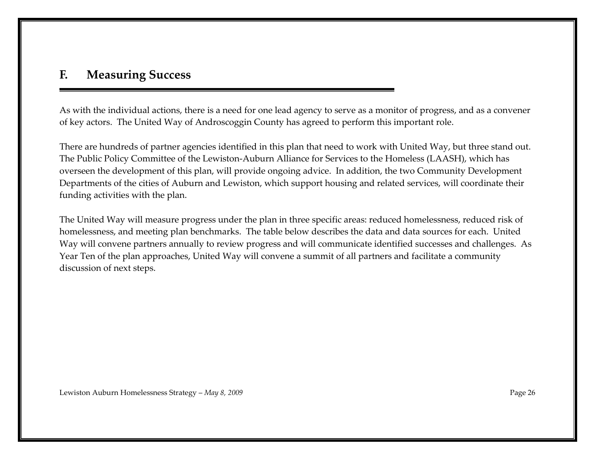#### F. Measuring Success

As with the individual actions, there is a need for one lead agency to serve as a monitor of progress, and as a convener of key actors. The United Way of Androscoggin County has agreed to perform this important role.

There are hundreds of partner agencies identified in this plan that need to work with United Way, but three stand out. The Public Policy Committee of the Lewiston-Auburn Alliance for Services to the Homeless (LAASH), which has overseen the development of this plan, will provide ongoing advice. In addition, the two Community Development Departments of the cities of Auburn and Lewiston, which support housing and related services, will coordinate their funding activities with the plan.

The United Way will measure progress under the plan in three specific areas: reduced homelessness, reduced risk of homelessness, and meeting plan benchmarks. The table below describes the data and data sources for each. United Way will convene partners annually to review progress and will communicate identified successes and challenges. As Year Ten of the plan approaches, United Way will convene a summit of all partners and facilitate a community discussion of next steps.